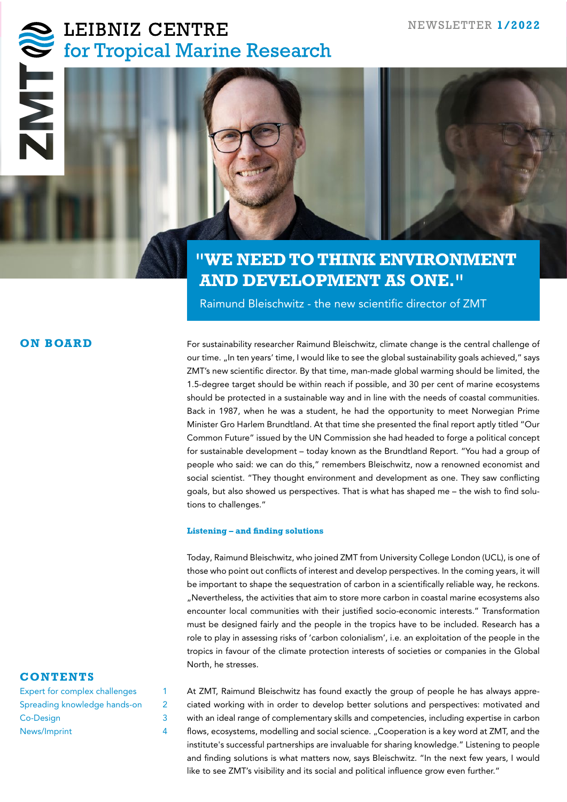# LEIBNIZ CENTRE



# **"WE NEED TO THINK ENVIRONMENT AND DEVELOPMENT AS ONE."**

Raimund Bleischwitz - the new scientific director of ZMT

## **ON BOARD**

For sustainability researcher Raimund Bleischwitz, climate change is the central challenge of our time. "In ten years' time, I would like to see the global sustainability goals achieved," says ZMT's new scientific director. By that time, man-made global warming should be limited, the 1.5-degree target should be within reach if possible, and 30 per cent of marine ecosystems should be protected in a sustainable way and in line with the needs of coastal communities. Back in 1987, when he was a student, he had the opportunity to meet Norwegian Prime Minister Gro Harlem Brundtland. At that time she presented the final report aptly titled "Our Common Future" issued by the UN Commission she had headed to forge a political concept for sustainable development – today known as the Brundtland Report. "You had a group of people who said: we can do this," remembers Bleischwitz, now a renowned economist and social scientist. "They thought environment and development as one. They saw conflicting goals, but also showed us perspectives. That is what has shaped me – the wish to find solutions to challenges."

#### **Listening – and finding solutions**

Today, Raimund Bleischwitz, who joined ZMT from University College London (UCL), is one of those who point out conflicts of interest and develop perspectives. In the coming years, it will be important to shape the sequestration of carbon in a scientifically reliable way, he reckons. "Nevertheless, the activities that aim to store more carbon in coastal marine ecosystems also encounter local communities with their justified socio-economic interests." Transformation must be designed fairly and the people in the tropics have to be included. Research has a role to play in assessing risks of 'carbon colonialism', i.e. an exploitation of the people in the tropics in favour of the climate protection interests of societies or companies in the Global North, he stresses.

## **CONTENTS**

| Expert for complex challenges |   |
|-------------------------------|---|
| Spreading knowledge hands-on  | 2 |
| Co-Design                     | 3 |
| News/Imprint                  |   |

At ZMT, Raimund Bleischwitz has found exactly the group of people he has always appreciated working with in order to develop better solutions and perspectives: motivated and with an ideal range of complementary skills and competencies, including expertise in carbon flows, ecosystems, modelling and social science. "Cooperation is a key word at ZMT, and the institute's successful partnerships are invaluable for sharing knowledge." Listening to people and finding solutions is what matters now, says Bleischwitz. "In the next few years, I would like to see ZMT's visibility and its social and political influence grow even further."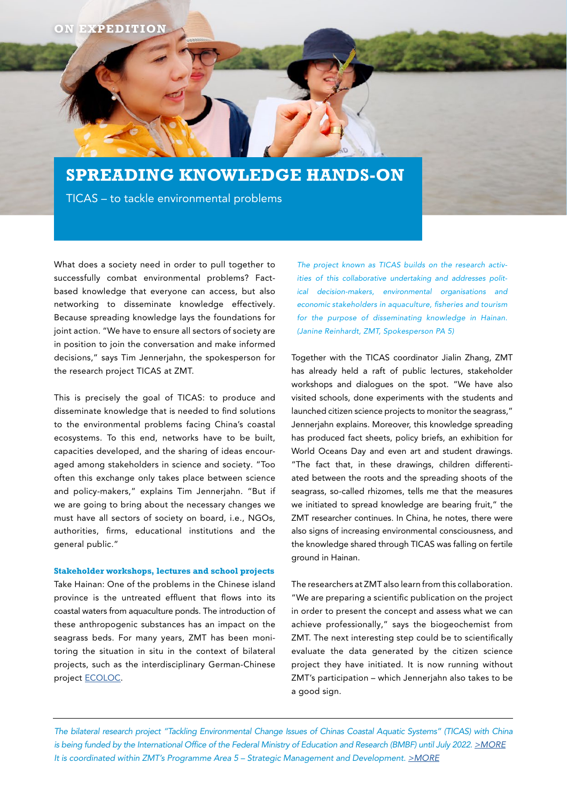# **SPREADING KNOWLEDGE HANDS-ON**

TICAS – to tackle environmental problems

What does a society need in order to pull together to successfully combat environmental problems? Factbased knowledge that everyone can access, but also networking to disseminate knowledge effectively. Because spreading knowledge lays the foundations for joint action. "We have to ensure all sectors of society are in position to join the conversation and make informed decisions," says Tim Jennerjahn, the spokesperson for the research project TICAS at ZMT.

This is precisely the goal of TICAS: to produce and disseminate knowledge that is needed to find solutions to the environmental problems facing China's coastal ecosystems. To this end, networks have to be built, capacities developed, and the sharing of ideas encouraged among stakeholders in science and society. "Too often this exchange only takes place between science and policy-makers," explains Tim Jennerjahn. "But if we are going to bring about the necessary changes we must have all sectors of society on board, i.e., NGOs, authorities, firms, educational institutions and the general public."

#### **Stakeholder workshops, lectures and school projects**

Take Hainan: One of the problems in the Chinese island province is the untreated effluent that flows into its coastal waters from aquaculture ponds. The introduction of these anthropogenic substances has an impact on the seagrass beds. For many years, ZMT has been monitoring the situation in situ in the context of bilateral projects, such as the interdisciplinary German-Chinese project [ECOLOC.](https://ecoloc.leibniz-zmt.de/)

*The project known as TICAS builds on the research activities of this collaborative undertaking and addresses political decision-makers, environmental organisations and economic stakeholders in aquaculture, fisheries and tourism for the purpose of disseminating knowledge in Hainan. (Janine Reinhardt, ZMT, Spokesperson PA 5)*

Together with the TICAS coordinator Jialin Zhang, ZMT has already held a raft of public lectures, stakeholder workshops and dialogues on the spot. "We have also visited schools, done experiments with the students and launched citizen science projects to monitor the seagrass," Jennerjahn explains. Moreover, this knowledge spreading has produced fact sheets, policy briefs, an exhibition for World Oceans Day and even art and student drawings. "The fact that, in these drawings, children differentiated between the roots and the spreading shoots of the seagrass, so-called rhizomes, tells me that the measures we initiated to spread knowledge are bearing fruit," the ZMT researcher continues. In China, he notes, there were also signs of increasing environmental consciousness, and the knowledge shared through TICAS was falling on fertile ground in Hainan.

The researchers at ZMT also learn from this collaboration. "We are preparing a scientific publication on the project in order to present the concept and assess what we can achieve professionally," says the biogeochemist from ZMT. The next interesting step could be to scientifically evaluate the data generated by the citizen science project they have initiated. It is now running without ZMT's participation – which Jennerjahn also takes to be a good sign.

*The bilateral research project "Tackling Environmental Change Issues of Chinas Coastal Aquatic Systems" (TICAS) with China is being funded by the International Office of the Federal Ministry of Education and Research (BMBF) until July 2022. [>MORE](https://www.leibniz-zmt.de/en/research/research-projects/ticas.html) It is coordinated within ZMT's Programme Area 5 – Strategic Management and Development. [>MORE](https://www.leibniz-zmt.de/en/research/research-areas-programme-areas/programme-area-5.html)*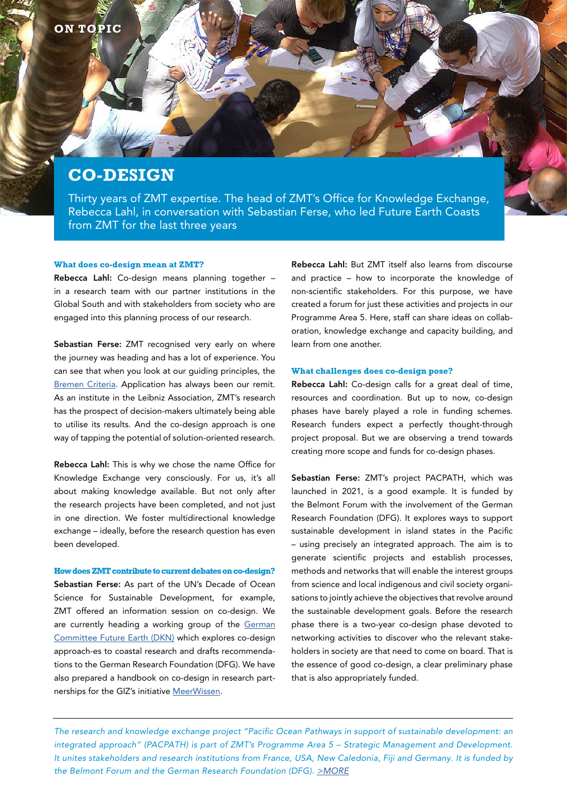# **CO-DESIGN**

Thirty years of ZMT expertise. The head of ZMT's Office for Knowledge Exchange, Rebecca Lahl, in conversation with Sebastian Ferse, who led Future Earth Coasts from ZMT for the last three years

#### **What does co-design mean at ZMT?**

Rebecca Lahl: Co-design means planning together – in a research team with our partner institutions in the Global South and with stakeholders from society who are engaged into this planning process of our research.

Sebastian Ferse: ZMT recognised very early on where the journey was heading and has a lot of experience. You can see that when you look at our guiding principles, the [Bremen Criteria](https://www.leibniz-zmt.de/en/marine-tropics-research/our-mission-values.html). Application has always been our remit. As an institute in the Leibniz Association, ZMT's research has the prospect of decision-makers ultimately being able to utilise its results. And the co-design approach is one way of tapping the potential of solution-oriented research.

Rebecca Lahl: This is why we chose the name Office for Knowledge Exchange very consciously. For us, it's all about making knowledge available. But not only after the research projects have been completed, and not just in one direction. We foster multidirectional knowledge exchange – ideally, before the research question has even been developed.

**How does ZMT contribute to current debates on co-design?** Sebastian Ferse: As part of the UN's Decade of Ocean Science for Sustainable Development, for example, ZMT offered an information session on co-design. We are currently heading a working group of the [German](https://www.dkn-future-earth.org/activities/working_groups/088413/index.php.en) [Committee Future Earth \(DKN\)](https://www.dkn-future-earth.org/activities/working_groups/088413/index.php.en) which explores co-design approach-es to coastal research and drafts recommendations to the German Research Foundation (DFG). We have also prepared a handbook on co-design in research partnerships for the GIZ's initiative [MeerWissen](https://www.leibniz-zmt.de/en/news-at-zmt/news/overview/co-design-guidance-for-research-partnerships.html).

Rebecca Lahl: But ZMT itself also learns from discourse and practice – how to incorporate the knowledge of non-scientific stakeholders. For this purpose, we have created a forum for just these activities and projects in our Programme Area 5. Here, staff can share ideas on collaboration, knowledge exchange and capacity building, and learn from one another.

#### **What challenges does co-design pose?**

Rebecca Lahl: Co-design calls for a great deal of time, resources and coordination. But up to now, co-design phases have barely played a role in funding schemes. Research funders expect a perfectly thought-through project proposal. But we are observing a trend towards creating more scope and funds for co-design phases.

Sebastian Ferse: ZMT's project PACPATH, which was launched in 2021, is a good example. It is funded by the Belmont Forum with the involvement of the German Research Foundation (DFG). It explores ways to support sustainable development in island states in the Pacific – using precisely an integrated approach. The aim is to generate scientific projects and establish processes, methods and networks that will enable the interest groups from science and local indigenous and civil society organisations to jointly achieve the objectives that revolve around the sustainable development goals. Before the research phase there is a two-year co-design phase devoted to networking activities to discover who the relevant stakeholders in society are that need to come on board. That is the essence of good co-design, a clear preliminary phase that is also appropriately funded.

*The research and knowledge exchange project "Pacific Ocean Pathways in support of sustainable development: an integrated approach" (PACPATH) is part of ZMT's Programme Area 5 – Strategic Management and Development. It unites stakeholders and research institutions from France, USA, New Caledonia, Fiji and Germany. It is funded by the Belmont Forum and the German Research Foundation (DFG). [>MORE](https://www.leibniz-zmt.de/en/research/research-projects/pacpath.html)*